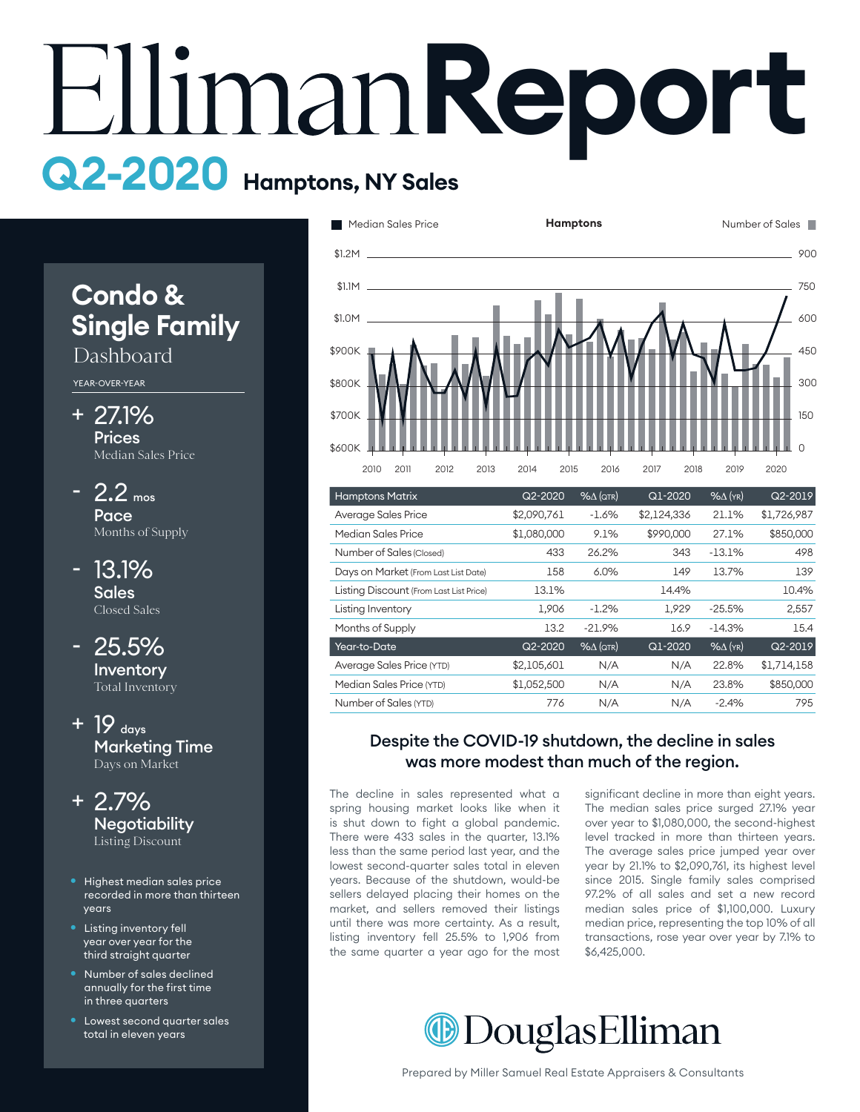# **Report Q2-2020 Hamptons, NY Sales**

# **Condo & Single Family**

# Dashboard

YEAR-OVER-YEAR

- 27.1% + **Prices** Median Sales Price
- $-2.2$  mos Pace Months of Supply
- 13.1% **Sales** Closed Sales -
- 25.5% Inventory Total Inventory
- $+$  19  $_{\text{days}}$ Marketing Time Days on Market
- 2.7% + **Negotiability** Listing Discount
- Highest median sales price recorded in more than thirteen years
- Listing inventory fell year over year for the third straight quarter
- Number of sales declined annually for the first time in three quarters
- Lowest second quarter sales total in eleven years



| <b>Hamptons Matrix</b>                  | Q2-2020     | $% \triangle (QTR)$ | Q1-2020     | $%$ $\Delta$ (YR) | Q2-2019     |
|-----------------------------------------|-------------|---------------------|-------------|-------------------|-------------|
| Average Sales Price                     | \$2,090,761 | $-1.6%$             | \$2,124,336 | 21.1%             | \$1,726,987 |
| Median Sales Price                      | \$1,080,000 | 9.1%                | \$990,000   | 27.1%             | \$850,000   |
| Number of Sales (Closed)                | 433         | 26.2%               | 343         | $-13.1%$          | 498         |
| Days on Market (From Last List Date)    | 158         | 6.0%                | 149         | 13.7%             | 139         |
| Listing Discount (From Last List Price) | 13.1%       |                     | 14.4%       |                   | 10.4%       |
| Listing Inventory                       | 1,906       | $-1.2\%$            | 1.929       | $-25.5%$          | 2,557       |
| Months of Supply                        | 13.2        | $-21.9%$            | 16.9        | $-14.3%$          | 15.4        |
| Year-to-Date                            | $Q2 - 2020$ | $% \triangle (QTR)$ | Q1-2020     | $%$ $\Delta$ (YR) | Q2-2019     |
| Average Sales Price (YTD)               | \$2,105,601 | N/A                 | N/A         | 22.8%             | \$1,714,158 |
| Median Sales Price (YTD)                | \$1,052,500 | N/A                 | N/A         | 23.8%             | \$850,000   |
| Number of Sales (YTD)                   | 776         | N/A                 | N/A         | $-2.4%$           | 795         |
|                                         |             |                     |             |                   |             |

## Despite the COVID-19 shutdown, the decline in sales was more modest than much of the region.

The decline in sales represented what a signi spring housing market looks like when it is shut down to fight a global pandemic. There were 433 sales in the quarter, 13.1% less than the same period last year, and the lowest second-quarter sales total in eleven years. Because of the shutdown, would-be sellers delayed placing their homes on the market, and sellers removed their listings until there was more certainty. As a result, listing inventory fell 25.5% to 1,906 from the same quarter a year ago for the most

decline in sales represented what a significant decline in more than eight years. The median sales price surged 27.1% year over year to \$1,080,000, the second-highest level tracked in more than thirteen years. The average sales price jumped year over year by 21.1% to \$2,090,761, its highest level since 2015. Single family sales comprised 97.2% of all sales and set a new record median sales price of \$1,100,000. Luxury median price, representing the top 10% of all transactions, rose year over year by 7.1% to 16 \$6,425,000.